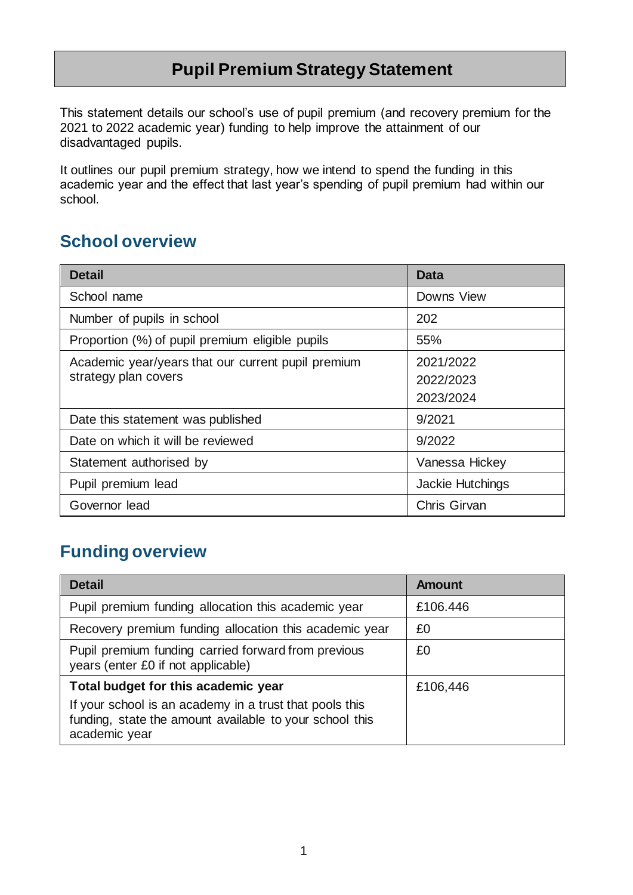## **Pupil Premium Strategy Statement**

This statement details our school's use of pupil premium (and recovery premium for the 2021 to 2022 academic year) funding to help improve the attainment of our disadvantaged pupils.

It outlines our pupil premium strategy, how we intend to spend the funding in this academic year and the effect that last year's spending of pupil premium had within our school.

## **School overview**

| <b>Detail</b>                                      | Data                |
|----------------------------------------------------|---------------------|
| School name                                        | Downs View          |
| Number of pupils in school                         | 202                 |
| Proportion (%) of pupil premium eligible pupils    | 55%                 |
| Academic year/years that our current pupil premium | 2021/2022           |
| strategy plan covers                               | 2022/2023           |
|                                                    | 2023/2024           |
| Date this statement was published                  | 9/2021              |
| Date on which it will be reviewed                  | 9/2022              |
| Statement authorised by                            | Vanessa Hickey      |
| Pupil premium lead                                 | Jackie Hutchings    |
| Governor lead                                      | <b>Chris Girvan</b> |

## **Funding overview**

| <b>Detail</b>                                                                                                                       | Amount   |
|-------------------------------------------------------------------------------------------------------------------------------------|----------|
| Pupil premium funding allocation this academic year                                                                                 | £106.446 |
| Recovery premium funding allocation this academic year                                                                              | £0       |
| Pupil premium funding carried forward from previous<br>years (enter £0 if not applicable)                                           | £0       |
| Total budget for this academic year                                                                                                 | £106,446 |
| If your school is an academy in a trust that pools this<br>funding, state the amount available to your school this<br>academic year |          |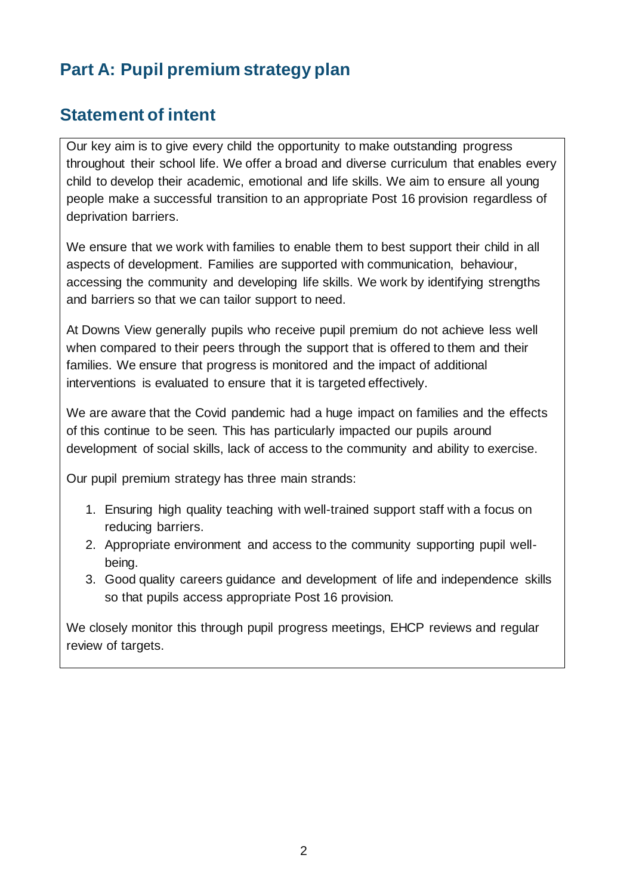# **Part A: Pupil premium strategy plan**

#### **Statement of intent**

Our key aim is to give every child the opportunity to make outstanding progress throughout their school life. We offer a broad and diverse curriculum that enables every child to develop their academic, emotional and life skills. We aim to ensure all young people make a successful transition to an appropriate Post 16 provision regardless of deprivation barriers.

We ensure that we work with families to enable them to best support their child in all aspects of development. Families are supported with communication, behaviour, accessing the community and developing life skills. We work by identifying strengths and barriers so that we can tailor support to need.

At Downs View generally pupils who receive pupil premium do not achieve less well when compared to their peers through the support that is offered to them and their families. We ensure that progress is monitored and the impact of additional interventions is evaluated to ensure that it is targeted effectively.

We are aware that the Covid pandemic had a huge impact on families and the effects of this continue to be seen. This has particularly impacted our pupils around development of social skills, lack of access to the community and ability to exercise.

Our pupil premium strategy has three main strands:

- 1. Ensuring high quality teaching with well-trained support staff with a focus on reducing barriers.
- 2. Appropriate environment and access to the community supporting pupil wellbeing.
- 3. Good quality careers guidance and development of life and independence skills so that pupils access appropriate Post 16 provision.

We closely monitor this through pupil progress meetings, EHCP reviews and regular review of targets.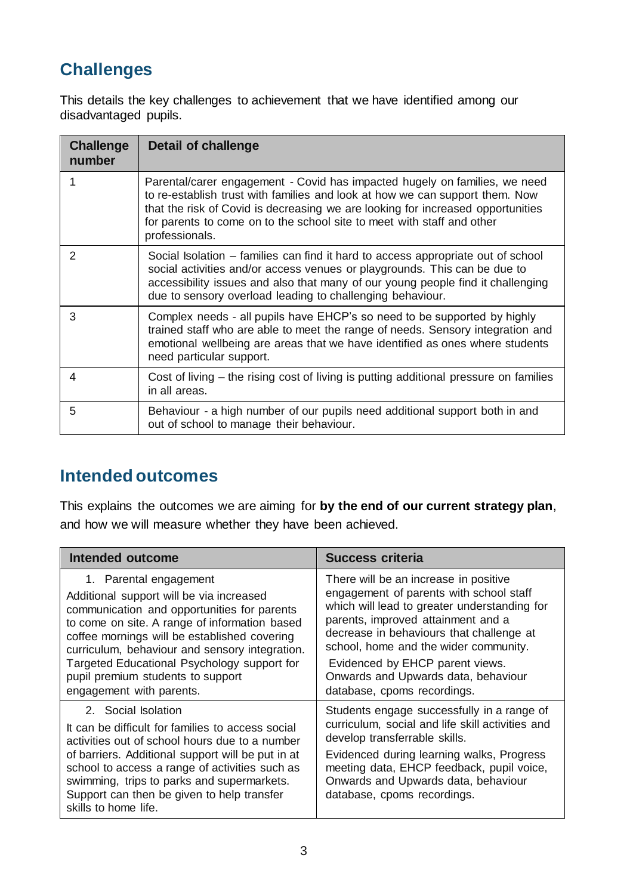# **Challenges**

This details the key challenges to achievement that we have identified among our disadvantaged pupils.

| <b>Challenge</b><br>number | Detail of challenge                                                                                                                                                                                                                                                                                                                       |
|----------------------------|-------------------------------------------------------------------------------------------------------------------------------------------------------------------------------------------------------------------------------------------------------------------------------------------------------------------------------------------|
|                            | Parental/carer engagement - Covid has impacted hugely on families, we need<br>to re-establish trust with families and look at how we can support them. Now<br>that the risk of Covid is decreasing we are looking for increased opportunities<br>for parents to come on to the school site to meet with staff and other<br>professionals. |
| 2                          | Social Isolation – families can find it hard to access appropriate out of school<br>social activities and/or access venues or playgrounds. This can be due to<br>accessibility issues and also that many of our young people find it challenging<br>due to sensory overload leading to challenging behaviour.                             |
| 3                          | Complex needs - all pupils have EHCP's so need to be supported by highly<br>trained staff who are able to meet the range of needs. Sensory integration and<br>emotional wellbeing are areas that we have identified as ones where students<br>need particular support.                                                                    |
| 4                          | Cost of living – the rising cost of living is putting additional pressure on families<br>in all areas.                                                                                                                                                                                                                                    |
| 5                          | Behaviour - a high number of our pupils need additional support both in and<br>out of school to manage their behaviour.                                                                                                                                                                                                                   |

## **Intended outcomes**

This explains the outcomes we are aiming for **by the end of our current strategy plan**, and how we will measure whether they have been achieved.

| Intended outcome                                                                                                                                                                                                                                                                                                                                                                     | Success criteria                                                                                                                                                                                                                                                                                                                                                     |
|--------------------------------------------------------------------------------------------------------------------------------------------------------------------------------------------------------------------------------------------------------------------------------------------------------------------------------------------------------------------------------------|----------------------------------------------------------------------------------------------------------------------------------------------------------------------------------------------------------------------------------------------------------------------------------------------------------------------------------------------------------------------|
| 1. Parental engagement<br>Additional support will be via increased<br>communication and opportunities for parents<br>to come on site. A range of information based<br>coffee mornings will be established covering<br>curriculum, behaviour and sensory integration.<br>Targeted Educational Psychology support for<br>pupil premium students to support<br>engagement with parents. | There will be an increase in positive<br>engagement of parents with school staff<br>which will lead to greater understanding for<br>parents, improved attainment and a<br>decrease in behaviours that challenge at<br>school, home and the wider community.<br>Evidenced by EHCP parent views.<br>Onwards and Upwards data, behaviour<br>database, cpoms recordings. |
| 2. Social Isolation<br>It can be difficult for families to access social<br>activities out of school hours due to a number<br>of barriers. Additional support will be put in at<br>school to access a range of activities such as<br>swimming, trips to parks and supermarkets.<br>Support can then be given to help transfer<br>skills to home life.                                | Students engage successfully in a range of<br>curriculum, social and life skill activities and<br>develop transferrable skills.<br>Evidenced during learning walks, Progress<br>meeting data, EHCP feedback, pupil voice,<br>Onwards and Upwards data, behaviour<br>database, cpoms recordings.                                                                      |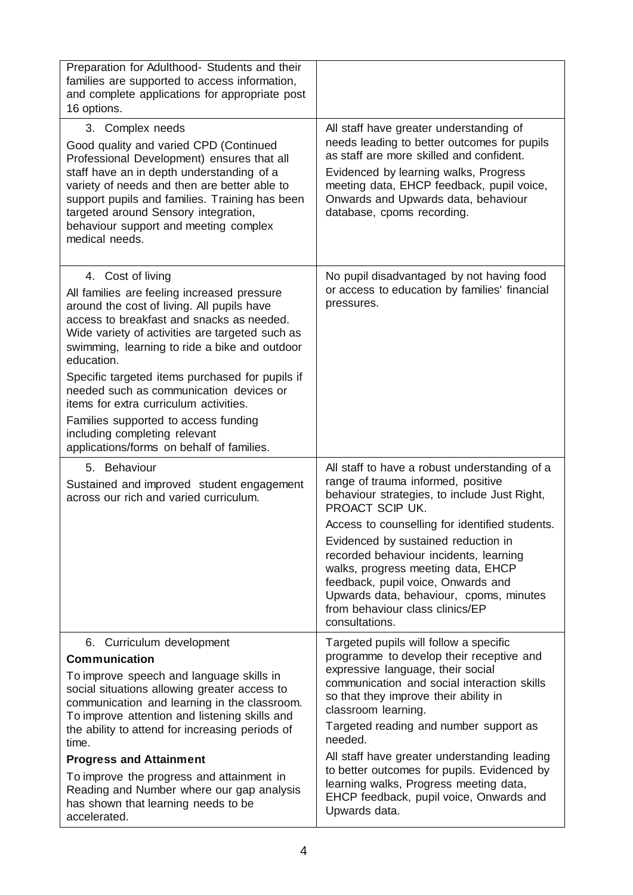| Preparation for Adulthood- Students and their<br>families are supported to access information,<br>and complete applications for appropriate post<br>16 options.                                                                                                                                                                                                                                                                                                                                                                             |                                                                                                                                                                                                                                                                                                                                                                                                                                                                                                  |
|---------------------------------------------------------------------------------------------------------------------------------------------------------------------------------------------------------------------------------------------------------------------------------------------------------------------------------------------------------------------------------------------------------------------------------------------------------------------------------------------------------------------------------------------|--------------------------------------------------------------------------------------------------------------------------------------------------------------------------------------------------------------------------------------------------------------------------------------------------------------------------------------------------------------------------------------------------------------------------------------------------------------------------------------------------|
| 3. Complex needs<br>Good quality and varied CPD (Continued<br>Professional Development) ensures that all<br>staff have an in depth understanding of a<br>variety of needs and then are better able to<br>support pupils and families. Training has been<br>targeted around Sensory integration,<br>behaviour support and meeting complex<br>medical needs.                                                                                                                                                                                  | All staff have greater understanding of<br>needs leading to better outcomes for pupils<br>as staff are more skilled and confident.<br>Evidenced by learning walks, Progress<br>meeting data, EHCP feedback, pupil voice,<br>Onwards and Upwards data, behaviour<br>database, cpoms recording.                                                                                                                                                                                                    |
| 4. Cost of living<br>All families are feeling increased pressure<br>around the cost of living. All pupils have<br>access to breakfast and snacks as needed.<br>Wide variety of activities are targeted such as<br>swimming, learning to ride a bike and outdoor<br>education.<br>Specific targeted items purchased for pupils if<br>needed such as communication devices or<br>items for extra curriculum activities.<br>Families supported to access funding<br>including completing relevant<br>applications/forms on behalf of families. | No pupil disadvantaged by not having food<br>or access to education by families' financial<br>pressures.                                                                                                                                                                                                                                                                                                                                                                                         |
| 5. Behaviour<br>Sustained and improved student engagement<br>across our rich and varied curriculum.                                                                                                                                                                                                                                                                                                                                                                                                                                         | All staff to have a robust understanding of a<br>range of trauma informed, positive<br>behaviour strategies, to include Just Right,<br>PROACT SCIP UK.<br>Access to counselling for identified students.<br>Evidenced by sustained reduction in<br>recorded behaviour incidents, learning<br>walks, progress meeting data, EHCP<br>feedback, pupil voice, Onwards and<br>Upwards data, behaviour, cpoms, minutes<br>from behaviour class clinics/EP<br>consultations.                            |
| 6. Curriculum development<br><b>Communication</b><br>To improve speech and language skills in<br>social situations allowing greater access to<br>communication and learning in the classroom.<br>To improve attention and listening skills and<br>the ability to attend for increasing periods of<br>time.<br><b>Progress and Attainment</b><br>To improve the progress and attainment in<br>Reading and Number where our gap analysis<br>has shown that learning needs to be<br>accelerated.                                               | Targeted pupils will follow a specific<br>programme to develop their receptive and<br>expressive language, their social<br>communication and social interaction skills<br>so that they improve their ability in<br>classroom learning.<br>Targeted reading and number support as<br>needed.<br>All staff have greater understanding leading<br>to better outcomes for pupils. Evidenced by<br>learning walks, Progress meeting data,<br>EHCP feedback, pupil voice, Onwards and<br>Upwards data. |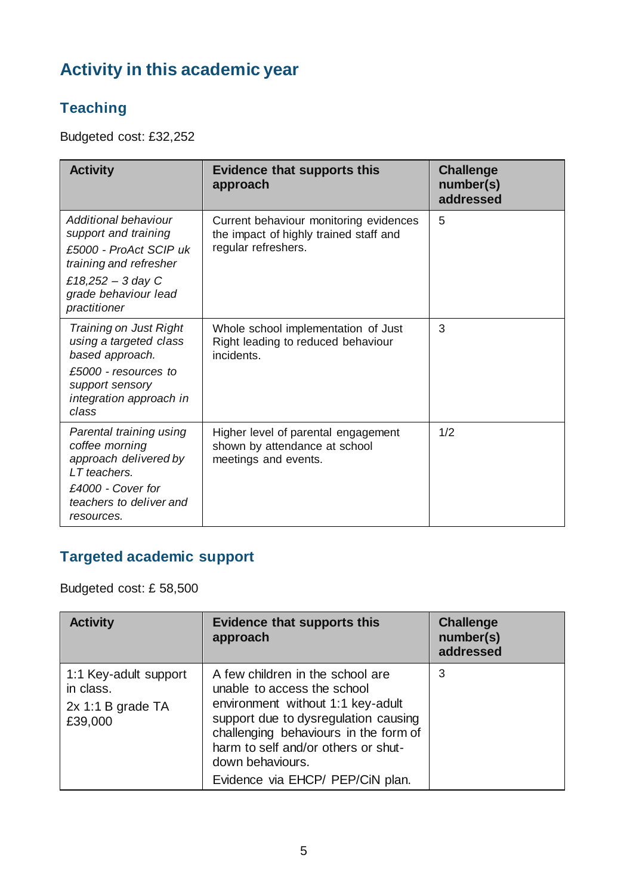# **Activity in this academic year**

## **Teaching**

Budgeted cost: £32,252

| <b>Activity</b>                                                                                                                                               | <b>Evidence that supports this</b><br>approach                                                          | <b>Challenge</b><br>number(s)<br>addressed |
|---------------------------------------------------------------------------------------------------------------------------------------------------------------|---------------------------------------------------------------------------------------------------------|--------------------------------------------|
| Additional behaviour<br>support and training<br>£5000 - ProAct SCIP uk<br>training and refresher<br>£18,252 - 3 day C<br>grade behaviour lead<br>practitioner | Current behaviour monitoring evidences<br>the impact of highly trained staff and<br>regular refreshers. | 5                                          |
| Training on Just Right<br>using a targeted class<br>based approach.<br>£5000 - resources to<br>support sensory<br>integration approach in<br>class            | Whole school implementation of Just<br>Right leading to reduced behaviour<br>incidents.                 | 3                                          |
| Parental training using<br>coffee morning<br>approach delivered by<br>LT teachers.<br>£4000 - Cover for<br>teachers to deliver and<br>resources.              | Higher level of parental engagement<br>shown by attendance at school<br>meetings and events.            | 1/2                                        |

## **Targeted academic support**

Budgeted cost: £ 58,500

| <b>Activity</b>                                                      | <b>Evidence that supports this</b><br>approach                                                                                                                                                                                                                                       | <b>Challenge</b><br>number(s)<br>addressed |
|----------------------------------------------------------------------|--------------------------------------------------------------------------------------------------------------------------------------------------------------------------------------------------------------------------------------------------------------------------------------|--------------------------------------------|
| 1:1 Key-adult support<br>in class.<br>$2x$ 1:1 B grade TA<br>£39,000 | A few children in the school are<br>unable to access the school<br>environment without 1:1 key-adult<br>support due to dysregulation causing<br>challenging behaviours in the form of<br>harm to self and/or others or shut-<br>down behaviours.<br>Evidence via EHCP/ PEP/CiN plan. | 3                                          |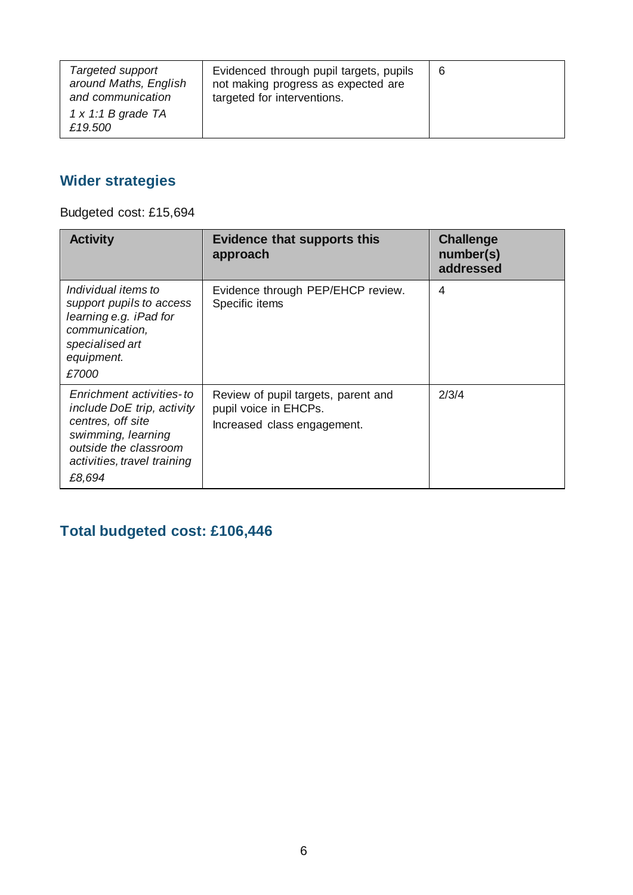| Targeted support<br>around Maths, English<br>and communication<br>$1 \times 1:1$ B grade TA<br>£19,500 | Evidenced through pupil targets, pupils<br>not making progress as expected are<br>targeted for interventions. | 6 |
|--------------------------------------------------------------------------------------------------------|---------------------------------------------------------------------------------------------------------------|---|
|--------------------------------------------------------------------------------------------------------|---------------------------------------------------------------------------------------------------------------|---|

#### **Wider strategies**

Budgeted cost: £15,694

| <b>Activity</b>                                                                                                                                                     | <b>Evidence that supports this</b><br>approach                                              | <b>Challenge</b><br>number(s)<br>addressed |
|---------------------------------------------------------------------------------------------------------------------------------------------------------------------|---------------------------------------------------------------------------------------------|--------------------------------------------|
| Individual items to<br>support pupils to access<br>learning e.g. iPad for<br>communication,<br>specialised art<br>equipment.<br>£7000                               | Evidence through PEP/EHCP review.<br>Specific items                                         | 4                                          |
| Enrichment activities-to<br>include DoE trip, activity<br>centres, off site<br>swimming, learning<br>outside the classroom<br>activities, travel training<br>£8,694 | Review of pupil targets, parent and<br>pupil voice in EHCPs.<br>Increased class engagement. | 2/3/4                                      |

#### **Total budgeted cost: £106,446**